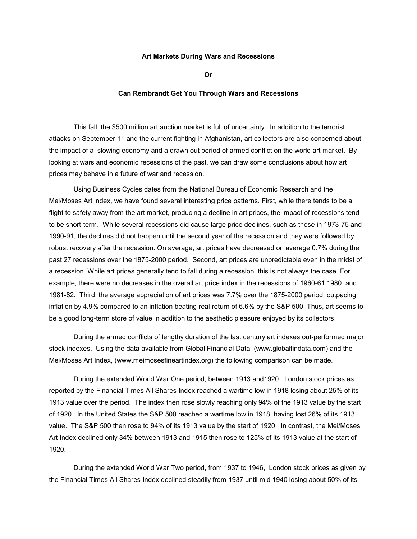## **Art Markets During Wars and Recessions**

**Or** 

## **Can Rembrandt Get You Through Wars and Recessions**

This fall, the \$500 million art auction market is full of uncertainty. In addition to the terrorist attacks on September 11 and the current fighting in Afghanistan, art collectors are also concerned about the impact of a slowing economy and a drawn out period of armed conflict on the world art market. By looking at wars and economic recessions of the past, we can draw some conclusions about how art prices may behave in a future of war and recession.

Using Business Cycles dates from the National Bureau of Economic Research and the Mei/Moses Art index, we have found several interesting price patterns. First, while there tends to be a flight to safety away from the art market, producing a decline in art prices, the impact of recessions tend to be short-term. While several recessions did cause large price declines, such as those in 1973-75 and 1990-91, the declines did not happen until the second year of the recession and they were followed by robust recovery after the recession. On average, art prices have decreased on average 0.7% during the past 27 recessions over the 1875-2000 period. Second, art prices are unpredictable even in the midst of a recession. While art prices generally tend to fall during a recession, this is not always the case. For example, there were no decreases in the overall art price index in the recessions of 1960-61,1980, and 1981-82. Third, the average appreciation of art prices was 7.7% over the 1875-2000 period, outpacing inflation by 4.9% compared to an inflation beating real return of 6.6% by the S&P 500. Thus, art seems to be a good long-term store of value in addition to the aesthetic pleasure enjoyed by its collectors.

During the armed conflicts of lengthy duration of the last century art indexes out-performed major stock indexes. Using the data available from Global Financial Data (www.globalfindata.com) and the Mei/Moses Art Index, (www.meimosesfineartindex.org) the following comparison can be made.

During the extended World War One period, between 1913 and1920, London stock prices as reported by the Financial Times All Shares Index reached a wartime low in 1918 losing about 25% of its 1913 value over the period. The index then rose slowly reaching only 94% of the 1913 value by the start of 1920. In the United States the S&P 500 reached a wartime low in 1918, having lost 26% of its 1913 value. The S&P 500 then rose to 94% of its 1913 value by the start of 1920. In contrast, the Mei/Moses Art Index declined only 34% between 1913 and 1915 then rose to 125% of its 1913 value at the start of 1920.

During the extended World War Two period, from 1937 to 1946, London stock prices as given by the Financial Times All Shares Index declined steadily from 1937 until mid 1940 losing about 50% of its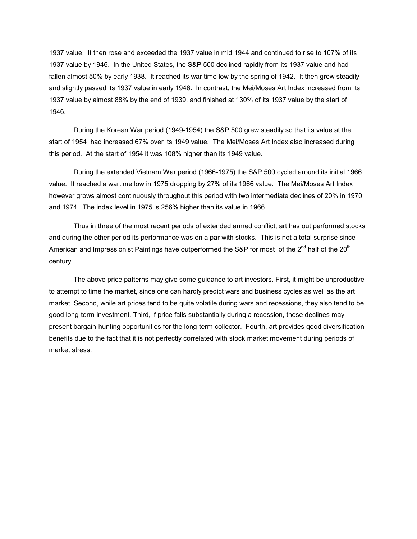1937 value. It then rose and exceeded the 1937 value in mid 1944 and continued to rise to 107% of its 1937 value by 1946. In the United States, the S&P 500 declined rapidly from its 1937 value and had fallen almost 50% by early 1938. It reached its war time low by the spring of 1942. It then grew steadily and slightly passed its 1937 value in early 1946. In contrast, the Mei/Moses Art Index increased from its 1937 value by almost 88% by the end of 1939, and finished at 130% of its 1937 value by the start of 1946.

During the Korean War period (1949-1954) the S&P 500 grew steadily so that its value at the start of 1954 had increased 67% over its 1949 value. The Mei/Moses Art Index also increased during this period. At the start of 1954 it was 108% higher than its 1949 value.

During the extended Vietnam War period (1966-1975) the S&P 500 cycled around its initial 1966 value. It reached a wartime low in 1975 dropping by 27% of its 1966 value. The Mei/Moses Art Index however grows almost continuously throughout this period with two intermediate declines of 20% in 1970 and 1974. The index level in 1975 is 256% higher than its value in 1966.

Thus in three of the most recent periods of extended armed conflict, art has out performed stocks and during the other period its performance was on a par with stocks. This is not a total surprise since American and Impressionist Paintings have outperformed the S&P for most of the  $2^{nd}$  half of the 20<sup>th</sup> century.

The above price patterns may give some guidance to art investors. First, it might be unproductive to attempt to time the market, since one can hardly predict wars and business cycles as well as the art market. Second, while art prices tend to be quite volatile during wars and recessions, they also tend to be good long-term investment. Third, if price falls substantially during a recession, these declines may present bargain-hunting opportunities for the long-term collector. Fourth, art provides good diversification benefits due to the fact that it is not perfectly correlated with stock market movement during periods of market stress.